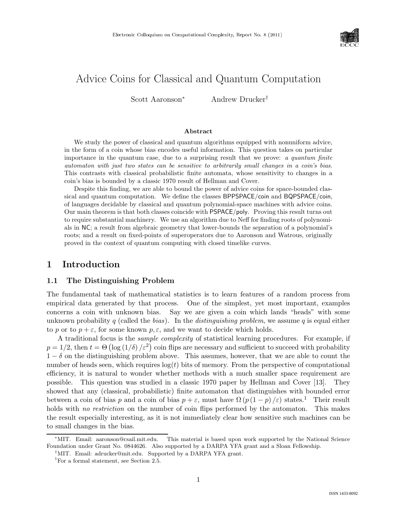

## Advice Coins for Classical and Quantum Computation

Scott Aaronson<sup>∗</sup> Andrew Drucker†

#### Abstract

We study the power of classical and quantum algorithms equipped with nonuniform advice, in the form of a coin whose bias encodes useful information. This question takes on particular importance in the quantum case, due to a surprising result that we prove: a quantum finite automaton with just two states can be sensitive to arbitrarily small changes in a coin's bias. This contrasts with classical probabilistic finite automata, whose sensitivity to changes in a coin's bias is bounded by a classic 1970 result of Hellman and Cover.

Despite this finding, we are able to bound the power of advice coins for space-bounded classical and quantum computation. We define the classes BPPSPACE/coin and BQPSPACE/coin, of languages decidable by classical and quantum polynomial-space machines with advice coins. Our main theorem is that both classes coincide with PSPACE/poly. Proving this result turns out to require substantial machinery. We use an algorithm due to Neff for finding roots of polynomials in NC; a result from algebraic geometry that lower-bounds the separation of a polynomial's roots; and a result on fixed-points of superoperators due to Aaronson and Watrous, originally proved in the context of quantum computing with closed timelike curves.

### 1 Introduction

#### 1.1 The Distinguishing Problem

The fundamental task of mathematical statistics is to learn features of a random process from empirical data generated by that process. One of the simplest, yet most important, examples concerns a coin with unknown bias. Say we are given a coin which lands "heads" with some unknown probability q (called the bias). In the distinguishing problem, we assume q is equal either to p or to  $p + \varepsilon$ , for some known  $p, \varepsilon$ , and we want to decide which holds.

A traditional focus is the sample complexity of statistical learning procedures. For example, if  $p = 1/2$ , then  $t = \Theta(\log(1/\delta)/\varepsilon^2)$  coin flips are necessary and sufficient to succeed with probability  $1 - \delta$  on the distinguishing problem above. This assumes, however, that we are able to count the number of heads seen, which requires  $log(t)$  bits of memory. From the perspective of computational efficiency, it is natural to wonder whether methods with a much smaller space requirement are possible. This question was studied in a classic 1970 paper by Hellman and Cover [13]. They showed that any (classical, probabilistic) finite automaton that distinguishes with bounded error between a coin of bias p and a coin of bias  $p + \varepsilon$ , must have  $\Omega(p(1-p)/\varepsilon)$  states.<sup>1</sup> Their result holds with no restriction on the number of coin flips performed by the automaton. This makes the result especially interesting, as it is not immediately clear how sensitive such machines can be to small changes in the bias.

<sup>∗</sup>MIT. Email: aaronson@csail.mit.edu. This material is based upon work supported by the National Science Foundation under Grant No. 0844626. Also supported by a DARPA YFA grant and a Sloan Fellowship.

<sup>†</sup>MIT. Email: adrucker@mit.edu. Supported by a DARPA YFA grant.

<sup>1</sup>For a formal statement, see Section 2.5.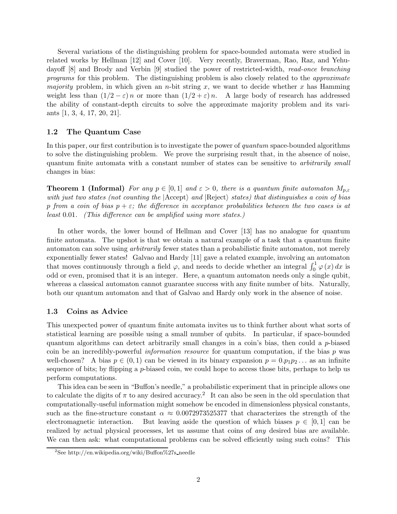Several variations of the distinguishing problem for space-bounded automata were studied in related works by Hellman [12] and Cover [10]. Very recently, Braverman, Rao, Raz, and Yehudayoff [8] and Brody and Verbin [9] studied the power of restricted-width, read-once branching programs for this problem. The distinguishing problem is also closely related to the *approximate majority* problem, in which given an *n*-bit string x, we want to decide whether x has Hamming weight less than  $(1/2 - \varepsilon)n$  or more than  $(1/2 + \varepsilon)n$ . A large body of research has addressed the ability of constant-depth circuits to solve the approximate majority problem and its variants [1, 3, 4, 17, 20, 21].

#### 1.2 The Quantum Case

In this paper, our first contribution is to investigate the power of quantum space-bounded algorithms to solve the distinguishing problem. We prove the surprising result that, in the absence of noise, quantum finite automata with a constant number of states can be sensitive to *arbitrarily small* changes in bias:

**Theorem 1 (Informal)** For any  $p \in [0,1]$  and  $\varepsilon > 0$ , there is a quantum finite automaton  $M_{p,\varepsilon}$ with just two states (not counting the  $|$ Accept $\rangle$  and  $|$ Reject $\rangle$  states) that distinguishes a coin of bias p from a coin of bias  $p + \varepsilon$ ; the difference in acceptance probabilities between the two cases is at least 0.01. (This difference can be amplified using more states.)

In other words, the lower bound of Hellman and Cover [13] has no analogue for quantum finite automata. The upshot is that we obtain a natural example of a task that a quantum finite automaton can solve using arbitrarily fewer states than a probabilistic finite automaton, not merely exponentially fewer states! Galvao and Hardy [11] gave a related example, involving an automaton that moves continuously through a field  $\varphi$ , and needs to decide whether an integral  $\int_0^1 \varphi(x) dx$  is odd or even, promised that it is an integer. Here, a quantum automaton needs only a single qubit, whereas a classical automaton cannot guarantee success with any finite number of bits. Naturally, both our quantum automaton and that of Galvao and Hardy only work in the absence of noise.

#### 1.3 Coins as Advice

This unexpected power of quantum finite automata invites us to think further about what sorts of statistical learning are possible using a small number of qubits. In particular, if space-bounded quantum algorithms can detect arbitrarily small changes in a coin's bias, then could a  $p$ -biased coin be an incredibly-powerful *information resource* for quantum computation, if the bias  $p$  was well-chosen? A bias  $p \in (0,1)$  can be viewed in its binary expansion  $p = 0.p_1p_2...$  as an infinite sequence of bits; by flipping a p-biased coin, we could hope to access those bits, perhaps to help us perform computations.

This idea can be seen in "Buffon's needle," a probabilistic experiment that in principle allows one to calculate the digits of  $\pi$  to any desired accuracy.<sup>2</sup> It can also be seen in the old speculation that computationally-useful information might somehow be encoded in dimensionless physical constants, such as the fine-structure constant  $\alpha \approx 0.0072973525377$  that characterizes the strength of the electromagnetic interaction. But leaving aside the question of which biases  $p \in [0,1]$  can be realized by actual physical processes, let us assume that coins of any desired bias are available. We can then ask: what computational problems can be solved efficiently using such coins? This

<sup>2</sup> See http://en.wikipedia.org/wiki/Buffon%27s needle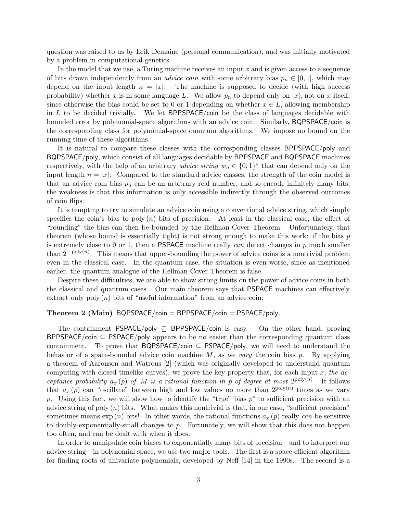question was raised to us by Erik Demaine (personal communication), and was initially motivated by a problem in computational genetics.

In the model that we use, a Turing machine receives an input  $x$  and is given access to a sequence of bits drawn independently from an *advice coin* with some arbitrary bias  $p_n \in [0,1]$ , which may depend on the input length  $n = |x|$ . The machine is supposed to decide (with high success probability) whether x is in some language L. We allow  $p_n$  to depend only on |x|, not on x itself, since otherwise the bias could be set to 0 or 1 depending on whether  $x \in L$ , allowing membership in  $L$  to be decided trivially. We let BPPSPACE/coin be the class of languages decidable with bounded error by polynomial-space algorithms with an advice coin. Similarly, BQPSPACE/coin is the corresponding class for polynomial-space quantum algorithms. We impose no bound on the running time of these algorithms.

It is natural to compare these classes with the corresponding classes BPPSPACE/poly and BQPSPACE/poly, which consist of all languages decidable by BPPSPACE and BQPSPACE machines respectively, with the help of an arbitrary *advice string*  $w_n \in \{0,1\}^*$  that can depend only on the input length  $n = |x|$ . Compared to the standard advice classes, the strength of the coin model is that an advice coin bias  $p_n$  can be an arbitrary real number, and so encode infinitely many bits; the weakness is that this information is only accessible indirectly through the observed outcomes of coin flips.

It is tempting to try to simulate an advice coin using a conventional advice string, which simply specifies the coin's bias to poly  $(n)$  bits of precision. At least in the classical case, the effect of "rounding" the bias can then be bounded by the Hellman-Cover Theorem. Unfortunately, that theorem (whose bound is essentially tight) is not strong enough to make this work: if the bias  $p$ is extremely close to 0 or 1, then a PSPACE machine really can detect changes in  $p$  much smaller than  $2^{-poly(n)}$ . This means that upper-bounding the power of advice coins is a nontrivial problem even in the classical case. In the quantum case, the situation is even worse, since as mentioned earlier, the quantum analogue of the Hellman-Cover Theorem is false.

Despite these difficulties, we are able to show strong limits on the power of advice coins in both the classical and quantum cases. Our main theorem says that PSPACE machines can effectively extract only poly  $(n)$  bits of "useful information" from an advice coin:

#### Theorem 2 (Main)  $BQPSPACE/coin = BPPSPACE/coin = PSPACE/poly$ .

The containment PSPACE/poly  $\subseteq$  BPPSPACE/coin is easy. On the other hand, proving BPPSPACE/coin  $\subseteq$  PSPACE/poly appears to be no easier than the corresponding quantum class containment. To prove that  $BQPSPACE/coin \subseteq PSPACE/poly$ , we will need to understand the behavior of a space-bounded advice coin machine  $M$ , as we vary the coin bias  $p$ . By applying a theorem of Aaronson and Watrous [2] (which was originally developed to understand quantum computing with closed timelike curves), we prove the key property that, for each input  $x$ , the acceptance probability  $a_x(p)$  of M is a rational function in p of degree at most  $2^{poly(n)}$ . It follows that  $a_x(p)$  can "oscillate" between high and low values no more than  $2^{poly(n)}$  times as we vary p. Using this fact, we will show how to identify the "true" bias  $p^*$  to sufficient precision with an advice string of poly  $(n)$  bits. What makes this nontrivial is that, in our case, "sufficient precision" sometimes means  $\exp(n)$  bits! In other words, the rational functions  $a_x(p)$  really can be sensitive to doubly-exponentially-small changes to  $p$ . Fortunately, we will show that this does not happen too often, and can be dealt with when it does.

In order to manipulate coin biases to exponentially many bits of precision—and to interpret our advice string—in polynomial space, we use two major tools. The first is a space-efficient algorithm for finding roots of univariate polynomials, developed by Neff [14] in the 1990s. The second is a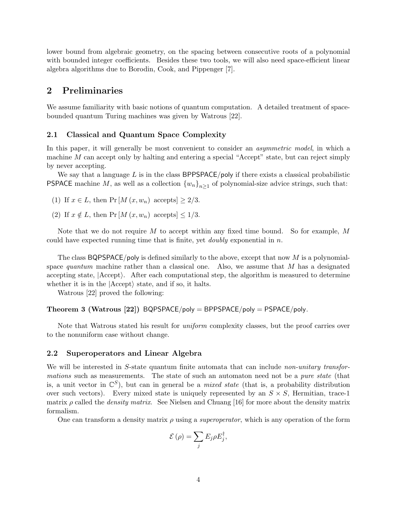lower bound from algebraic geometry, on the spacing between consecutive roots of a polynomial with bounded integer coefficients. Besides these two tools, we will also need space-efficient linear algebra algorithms due to Borodin, Cook, and Pippenger [7].

## 2 Preliminaries

We assume familiarity with basic notions of quantum computation. A detailed treatment of spacebounded quantum Turing machines was given by Watrous [22].

#### 2.1 Classical and Quantum Space Complexity

In this paper, it will generally be most convenient to consider an *asymmetric model*, in which a machine  $M$  can accept only by halting and entering a special "Accept" state, but can reject simply by never accepting.

We say that a language  $L$  is in the class  $\mathsf{BPPSPACE/poly}$  if there exists a classical probabilistic **PSPACE** machine M, as well as a collection  ${w_n}_{n\geq 1}$  of polynomial-size advice strings, such that:

(1) If  $x \in L$ , then  $Pr[M(x, w_n)] \text{ accepts} \geq 2/3$ .

(2) If  $x \notin L$ , then  $Pr[M(x, w_n)] \text{ accepts} \leq 1/3$ .

Note that we do not require  $M$  to accept within any fixed time bound. So for example,  $M$ could have expected running time that is finite, yet *doubly* exponential in  $n$ .

The class BQPSPACE/poly is defined similarly to the above, except that now  $M$  is a polynomialspace quantum machine rather than a classical one. Also, we assume that  $M$  has a designated accepting state,  $|$ Accept $\rangle$ . After each computational step, the algorithm is measured to determine whether it is in the  $|Accept\rangle$  state, and if so, it halts.

Watrous [22] proved the following:

Theorem 3 (Watrous [22])  $BQPSPACE/poly = BPPSPACE/poly = PSPACE/poly$ .

Note that Watrous stated his result for uniform complexity classes, but the proof carries over to the nonuniform case without change.

#### 2.2 Superoperators and Linear Algebra

We will be interested in S-state quantum finite automata that can include non-unitary transformations such as measurements. The state of such an automaton need not be a *pure state* (that is, a unit vector in  $\mathbb{C}^S$ ), but can in general be a *mixed state* (that is, a probability distribution over such vectors). Every mixed state is uniquely represented by an  $S \times S$ , Hermitian, trace-1 matrix  $\rho$  called the *density matrix*. See Nielsen and Chuang [16] for more about the density matrix formalism.

One can transform a density matrix  $\rho$  using a *superoperator*, which is any operation of the form

$$
\mathcal{E}(\rho) = \sum_j E_j \rho E_j^{\dagger},
$$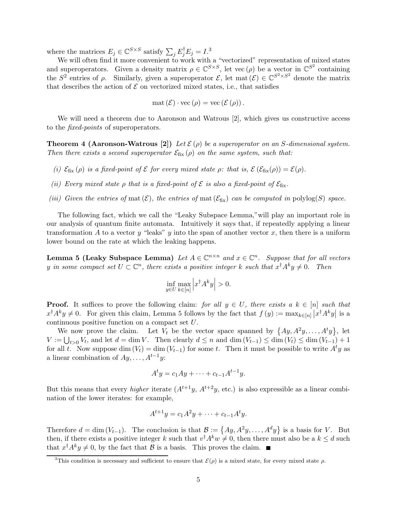where the matrices  $E_j \in \mathbb{C}^{S \times S}$  satisfy  $\sum_j E_j^{\dagger} E_j = I$ .<sup>3</sup>

We will often find it more convenient to work with a "vectorized" representation of mixed states and superoperators. Given a density matrix  $\rho \in \mathbb{C}^{S \times S}$ , let vec  $(\rho)$  be a vector in  $\mathbb{C}^{S^2}$  containing the  $S^2$  entries of  $\rho$ . Similarly, given a superoperator  $\mathcal{E}$ , let mat  $(\mathcal{E}) \in \mathbb{C}^{S^2 \times S^2}$  denote the matrix that describes the action of  $\mathcal E$  on vectorized mixed states, i.e., that satisfies

$$
\mathrm{mat}(\mathcal{E}) \cdot \mathrm{vec}(\rho) = \mathrm{vec}(\mathcal{E}(\rho)).
$$

We will need a theorem due to Aaronson and Watrous [2], which gives us constructive access to the fixed-points of superoperators.

**Theorem 4 (Aaronson-Watrous [2])** Let  $\mathcal{E}(\rho)$  be a superoperator on an S-dimensional system. Then there exists a second superoperator  $\mathcal{E}_{fix}(\rho)$  on the same system, such that:

- (i)  $\mathcal{E}_{fix}(\rho)$  is a fixed-point of  $\mathcal E$  for every mixed state  $\rho$ : that is,  $\mathcal E(\mathcal{E}_{fix}(\rho)) = \mathcal E(\rho)$ .
- (ii) Every mixed state  $\rho$  that is a fixed-point of  $\mathcal E$  is also a fixed-point of  $\mathcal E_{\text{fix}}$ .
- (iii) Given the entries of mat  $(\mathcal{E})$ , the entries of mat  $(\mathcal{E}_{fix})$  can be computed in polylog(S) space.

The following fact, which we call the "Leaky Subspace Lemma,"will play an important role in our analysis of quantum finite automata. Intuitively it says that, if repeatedly applying a linear transformation A to a vector y "leaks" y into the span of another vector x, then there is a uniform lower bound on the rate at which the leaking happens.

**Lemma 5 (Leaky Subspace Lemma)** Let  $A \in \mathbb{C}^{n \times n}$  and  $x \in \mathbb{C}^n$ . Suppose that for all vectors y in some compact set  $U \subset \mathbb{C}^n$ , there exists a positive integer k such that  $x^{\dagger} A^k y \neq 0$ . Then

$$
\inf_{y \in U} \max_{k \in [n]} \left| x^{\dagger} A^k y \right| > 0.
$$

**Proof.** It suffices to prove the following claim: for all  $y \in U$ , there exists a  $k \in [n]$  such that  $x^{\dagger} A^k y \neq 0$ . For given this claim, Lemma 5 follows by the fact that  $f(y) := \max_{k \in [n]} |x^{\dagger} A^k y|$  is a continuous positive function on a compact set U.

We now prove the claim. Let  $V_t$  be the vector space spanned by  $\{Ay, A^2y, \ldots, A^ty\}$ , let  $V := \bigcup_{t>0} V_t$ , and let  $d = \dim V$ . Then clearly  $d \leq n$  and  $\dim (V_{t-1}) \leq \dim (V_t) \leq \dim (V_{t-1}) + 1$ for all t. Now suppose dim  $(V_t) = \dim(V_{t-1})$  for some t. Then it must be possible to write  $A^t y$  as a linear combination of  $Ay, \ldots, A^{t-1}y$ :

$$
Aty = c1Ay + \cdots + ct-1At-1y.
$$

But this means that every *higher* iterate  $(A^{t+1}y, A^{t+2}y, \text{ etc.})$  is also expressible as a linear combination of the lower iterates: for example,

$$
A^{t+1}y = c_1 A^2 y + \dots + c_{t-1} A^t y.
$$

Therefore  $d = \dim(V_{t-1})$ . The conclusion is that  $\mathcal{B} := \{Ay, A^2y, \ldots, A^dy\}$  is a basis for V. But then, if there exists a positive integer k such that  $v^{\dagger} A^k w \neq 0$ , then there must also be a  $k \leq d$  such that  $x^{\dagger} A^k y \neq 0$ , by the fact that  $\mathcal B$  is a basis. This proves the claim.

<sup>&</sup>lt;sup>3</sup>This condition is necessary and sufficient to ensure that  $\mathcal{E}(\rho)$  is a mixed state, for every mixed state  $\rho$ .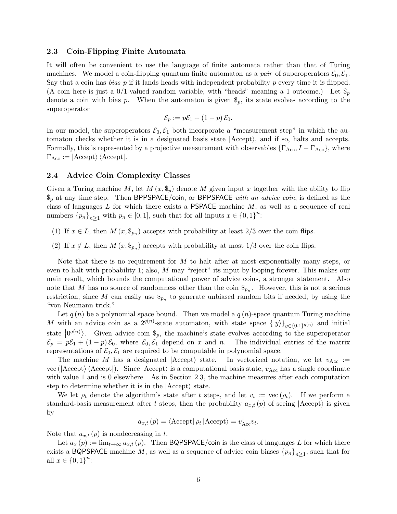#### 2.3 Coin-Flipping Finite Automata

It will often be convenient to use the language of finite automata rather than that of Turing machines. We model a coin-flipping quantum finite automaton as a pair of superoperators  $\mathcal{E}_0, \mathcal{E}_1$ . Say that a coin has *bias*  $p$  if it lands heads with independent probability  $p$  every time it is flipped. (A coin here is just a 0/1-valued random variable, with "heads" meaning a 1 outcome.) Let  $\$_{p}$ denote a coin with bias p. When the automaton is given  $\mathcal{F}_p$ , its state evolves according to the superoperator

$$
\mathcal{E}_p := p\mathcal{E}_1 + (1-p)\,\mathcal{E}_0.
$$

In our model, the superoperators  $\mathcal{E}_0, \mathcal{E}_1$  both incorporate a "measurement step" in which the automaton checks whether it is in a designated basis state  $|$ Accept $\rangle$ , and if so, halts and accepts. Formally, this is represented by a projective measurement with observables  $\{\Gamma_{\text{Acc}}, I - \Gamma_{\text{Acc}}\}$ , where  $\Gamma_{\text{Acc}} := |\text{Accept}\rangle \langle \text{Accept}|.$ 

#### 2.4 Advice Coin Complexity Classes

Given a Turing machine M, let  $M(x, \mathcal{S}_p)$  denote M given input x together with the ability to flip  $\$_{p}$  at any time step. Then BPPSPACE/coin, or BPPSPACE with an advice coin, is defined as the class of languages  $L$  for which there exists a PSPACE machine  $M$ , as well as a sequence of real numbers  ${p_n}_{n \geq 1}$  with  $p_n \in [0,1]$ , such that for all inputs  $x \in \{0,1\}^n$ :

- (1) If  $x \in L$ , then  $M(x, \S_{p_n})$  accepts with probability at least 2/3 over the coin flips.
- (2) If  $x \notin L$ , then  $M(x, \mathcal{S}_{p_n})$  accepts with probability at most 1/3 over the coin flips.

Note that there is no requirement for M to halt after at most exponentially many steps, or even to halt with probability 1; also, M may "reject" its input by looping forever. This makes our main result, which bounds the computational power of advice coins, a stronger statement. Also note that M has no source of randomness other than the coin  $\$_{p_n}$ . However, this is not a serious restriction, since M can easily use  $\$_{p_n}$  to generate unbiased random bits if needed, by using the "von Neumann trick."

Let  $q(n)$  be a polynomial space bound. Then we model a  $q(n)$ -space quantum Turing machine M with an advice coin as a  $2^{q(n)}$ -state automaton, with state space  $\{|y\rangle\}_{y\in\{0,1\}^{q(n)}}$  and initial state  $|0^{q(n)}\rangle$ . Given advice coin  $\mathcal{E}_p$ , the machine's state evolves according to the superoperator  $\mathcal{E}_p = p\mathcal{E}_1 + (1-p)\mathcal{E}_0$ , where  $\mathcal{E}_0, \mathcal{E}_1$  depend on x and n. The individual entries of the matrix representations of  $\mathcal{E}_0$ ,  $\mathcal{E}_1$  are required to be computable in polynomial space.

The machine M has a designated  $|$ Accept $\rangle$  state. In vectorized notation, we let  $v_{\text{Acc}} :=$ vec ( $|Accept\rangle$  (Accept). Since  $|Accept\rangle$  is a computational basis state,  $v_{Acc}$  has a single coordinate with value 1 and is 0 elsewhere. As in Section 2.3, the machine measures after each computation step to determine whether it is in the  $|$ Accept $\rangle$  state.

We let  $\rho_t$  denote the algorithm's state after t steps, and let  $v_t := \text{vec}(\rho_t)$ . If we perform a standard-basis measurement after t steps, then the probability  $a_{x,t}(p)$  of seeing  $|$ Accept $\rangle$  is given by

$$
a_{x,t}(p) = \langle \text{Accept} | \rho_t | \text{Accept} \rangle = v_{\text{Acc}}^{\dagger} v_t.
$$

Note that  $a_{x,t}(p)$  is nondecreasing in t.

Let  $a_x(p) := \lim_{t\to\infty} a_{x,t}(p)$ . Then BQPSPACE/coin is the class of languages L for which there exists a BQPSPACE machine M, as well as a sequence of advice coin biases  ${p_n}_{n\geq 1}$ , such that for all  $x \in \{0,1\}^n$ :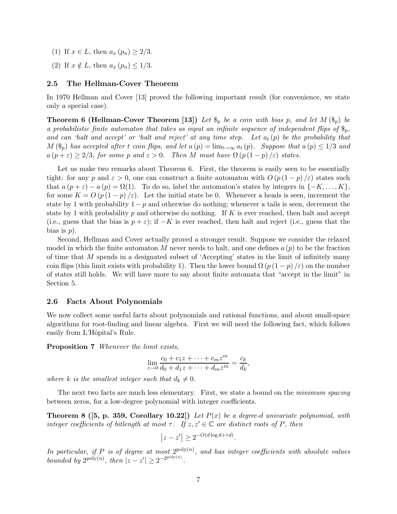- (1) If  $x \in L$ , then  $a_x(p_n) \geq 2/3$ .
- (2) If  $x \notin L$ , then  $a_x (p_n) \leq 1/3$ .

#### 2.5 The Hellman-Cover Theorem

In 1970 Hellman and Cover [13] proved the following important result (for convenience, we state only a special case).

**Theorem 6 (Hellman-Cover Theorem [13])** Let  $\mathcal{S}_p$  be a coin with bias p, and let  $M(\mathcal{S}_p)$  be a probabilistic finite automaton that takes as input an infinite sequence of independent flips of  $\mathcal{S}_n$ , and can 'halt and accept' or 'halt and reject' at any time step. Let  $a_t(p)$  be the probability that  $M(\mathcal{S}_p)$  has accepted after t coin flips, and let  $a(p) = \lim_{t\to\infty} a_t(p)$ . Suppose that  $a(p) \leq 1/3$  and  $a (p + \varepsilon) \geq 2/3$ , for some p and  $\varepsilon > 0$ . Then M must have  $\Omega(p (1 - p)/\varepsilon)$  states.

Let us make two remarks about Theorem 6. First, the theorem is easily seen to be essentially tight: for any p and  $\varepsilon > 0$ , one can construct a finite automaton with  $O(p(1-p)/\varepsilon)$  states such that  $a(p+\varepsilon) - a(p) = \Omega(1)$ . To do so, label the automaton's states by integers in  $\{-K, \ldots, K\}$ , for some  $K = O(p(1-p)/\varepsilon)$ . Let the initial state be 0. Whenever a heads is seen, increment the state by 1 with probability  $1 - p$  and otherwise do nothing; whenever a tails is seen, decrement the state by 1 with probability p and otherwise do nothing. If K is ever reached, then halt and accept (i.e., guess that the bias is  $p + \varepsilon$ ); if  $-K$  is ever reached, then halt and reject (i.e., guess that the bias is  $p$ ).

Second, Hellman and Cover actually proved a stronger result. Suppose we consider the relaxed model in which the finite automaton M never needs to halt, and one defines  $a(p)$  to be the fraction of time that  $M$  spends in a designated subset of 'Accepting' states in the limit of infinitely many coin flips (this limit exists with probability 1). Then the lower bound  $\Omega$  (p  $(1 - p)/\varepsilon$ ) on the number of states still holds. We will have more to say about finite automata that "accept in the limit" in Section 5.

#### 2.6 Facts About Polynomials

We now collect some useful facts about polynomials and rational functions, and about small-space algorithms for root-finding and linear algebra. First we will need the following fact, which follows easily from L'Hôpital's Rule.

Proposition 7 Whenever the limit exists,

$$
\lim_{z \to 0} \frac{c_0 + c_1 z + \dots + c_m z^m}{d_0 + d_1 z + \dots + d_m z^m} = \frac{c_k}{d_k},
$$

where k is the smallest integer such that  $d_k \neq 0$ .

The next two facts are much less elementary. First, we state a bound on the minimum spacing between zeros, for a low-degree polynomial with integer coefficients.

**Theorem 8** ([5, p. 359, Corollary 10.22]) Let  $P(x)$  be a degree-d univariate polynomial, with integer coefficients of bitlength at most  $\tau$ . If  $z, z' \in \mathbb{C}$  are distinct roots of P, then

$$
|z - z'| \ge 2^{-O(d \log d + \tau d)}
$$

.

In particular, if P is of degree at most  $2^{poly(n)}$ , and has integer coefficients with absolute values bounded by  $2^{\text{poly}(n)}$ , then  $|z-z'| \geq 2^{-2^{\text{poly}(n)}}$ .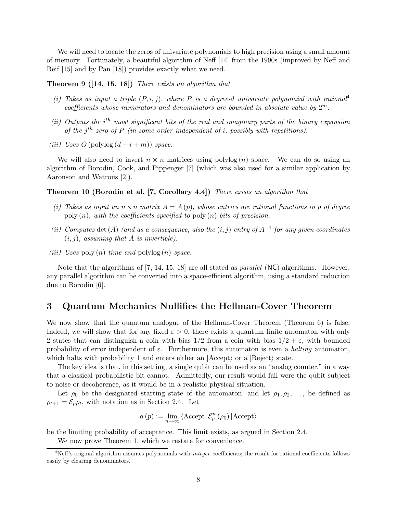We will need to locate the zeros of univariate polynomials to high precision using a small amount of memory. Fortunately, a beautiful algorithm of Neff [14] from the 1990s (improved by Neff and Reif [15] and by Pan [18]) provides exactly what we need.

**Theorem 9** ( $[14, 15, 18]$ ) There exists an algorithm that

- (i) Takes as input a triple  $(P,i,j)$ , where P is a degree-d univariate polynomial with rational<sup>4</sup> coefficients whose numerators and denominators are bounded in absolute value by  $2^m$ .
- (ii) Outputs the  $i<sup>th</sup>$  most significant bits of the real and imaginary parts of the binary expansion of the  $j<sup>th</sup>$  zero of P (in some order independent of i, possibly with repetitions).
- (iii) Uses  $O(polylog (d + i + m))$  space.

We will also need to invert  $n \times n$  matrices using polylog (n) space. We can do so using an algorithm of Borodin, Cook, and Pippenger [7] (which was also used for a similar application by Aaronson and Watrous [2]).

Theorem 10 (Borodin et al. [7, Corollary 4.4]) There exists an algorithm that

- (i) Takes as input an  $n \times n$  matrix  $A = A(p)$ , whose entries are rational functions in p of degree poly  $(n)$ , with the coefficients specified to poly  $(n)$  bits of precision.
- (ii) Computes det (A) (and as a consequence, also the  $(i, j)$  entry of  $A^{-1}$  for any given coordinates  $(i, j)$ , assuming that A is invertible).
- (iii) Uses poly  $(n)$  time and polylog  $(n)$  space.

Note that the algorithms of  $[7, 14, 15, 18]$  are all stated as *parallel* (NC) algorithms. However, any parallel algorithm can be converted into a space-efficient algorithm, using a standard reduction due to Borodin [6].

# 3 Quantum Mechanics Nullifies the Hellman-Cover Theorem

We now show that the quantum analogue of the Hellman-Cover Theorem (Theorem 6) is false. Indeed, we will show that for any fixed  $\varepsilon > 0$ , there exists a quantum finite automaton with only 2 states that can distinguish a coin with bias  $1/2$  from a coin with bias  $1/2 + \varepsilon$ , with bounded probability of error independent of  $\varepsilon$ . Furthermore, this automaton is even a *halting* automaton, which halts with probability 1 and enters either an  $|Accept\rangle$  or a  $|Reject\rangle$  state.

The key idea is that, in this setting, a single qubit can be used as an "analog counter," in a way that a classical probabilistic bit cannot. Admittedly, our result would fail were the qubit subject to noise or decoherence, as it would be in a realistic physical situation.

Let  $\rho_0$  be the designated starting state of the automaton, and let  $\rho_1, \rho_2, \ldots$ , be defined as  $\rho_{t+1} = \mathcal{E}_p \rho_t$ , with notation as in Section 2.4. Let

$$
a(p) := \lim_{n \to \infty} \langle \text{Accept} | \mathcal{E}_p^n (\rho_0) | \text{Accept} \rangle
$$

be the limiting probability of acceptance. This limit exists, as argued in Section 2.4.

We now prove Theorem 1, which we restate for convenience.

 $4$ Neff's original algorithm assumes polynomials with *integer* coefficients; the result for rational coefficients follows easily by clearing denominators.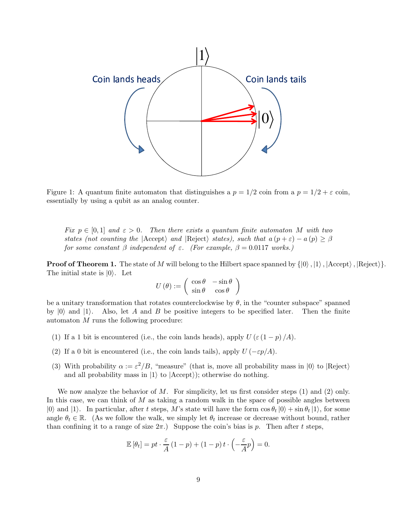

Figure 1: A quantum finite automaton that distinguishes a  $p = 1/2$  coin from a  $p = 1/2 + \varepsilon$  coin, essentially by using a qubit as an analog counter.

Fix  $p \in [0,1]$  and  $\varepsilon > 0$ . Then there exists a quantum finite automator M with two states (not counting the  $|$ Accept $\rangle$  and  $|$ Reject $\rangle$  states), such that  $a(p+\varepsilon) - a(p) \geq \beta$ for some constant  $\beta$  independent of  $\varepsilon$ . (For example,  $\beta = 0.0117$  works.)

**Proof of Theorem 1.** The state of M will belong to the Hilbert space spanned by  $\{ |0\rangle, |1\rangle, |$ Accept $\rangle, |$ Reject $\rangle\}$ . The initial state is  $|0\rangle$ . Let

$$
U(\theta) := \begin{pmatrix} \cos \theta & -\sin \theta \\ \sin \theta & \cos \theta \end{pmatrix}
$$

be a unitary transformation that rotates counterclockwise by  $\theta$ , in the "counter subspace" spanned by  $|0\rangle$  and  $|1\rangle$ . Also, let A and B be positive integers to be specified later. Then the finite automaton M runs the following procedure:

- (1) If a 1 bit is encountered (i.e., the coin lands heads), apply  $U(\varepsilon(1-p)/A)$ .
- (2) If a 0 bit is encountered (i.e., the coin lands tails), apply  $U(-\varepsilon p/A)$ .
- (3) With probability  $\alpha := \varepsilon^2/B$ , "measure" (that is, move all probability mass in  $|0\rangle$  to  $|Reject\rangle$ and all probability mass in  $|1\rangle$  to  $|Accept\rangle$ ; otherwise do nothing.

We now analyze the behavior of M. For simplicity, let us first consider steps  $(1)$  and  $(2)$  only. In this case, we can think of  $M$  as taking a random walk in the space of possible angles between  $|0\rangle$  and  $|1\rangle$ . In particular, after t steps, M's state will have the form  $\cos\theta_t |0\rangle + \sin\theta_t |1\rangle$ , for some angle  $\theta_t \in \mathbb{R}$ . (As we follow the walk, we simply let  $\theta_t$  increase or decrease without bound, rather than confining it to a range of size  $2\pi$ .) Suppose the coin's bias is p. Then after t steps,

$$
\mathbb{E}[\theta_t] = pt \cdot \frac{\varepsilon}{A} (1-p) + (1-p) t \cdot \left(-\frac{\varepsilon}{A}p\right) = 0.
$$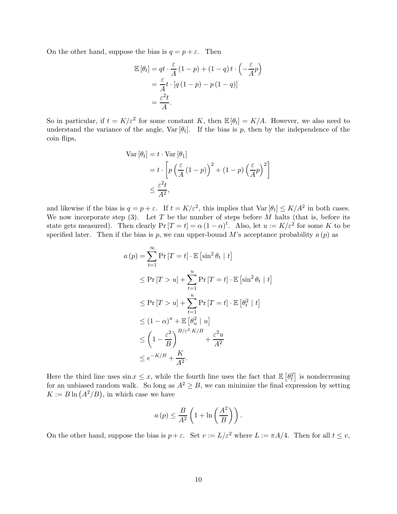On the other hand, suppose the bias is  $q = p + \varepsilon$ . Then

$$
\mathbb{E}[\theta_t] = qt \cdot \frac{\varepsilon}{A} (1 - p) + (1 - q) t \cdot \left(-\frac{\varepsilon}{A}p\right)
$$
  
=  $\frac{\varepsilon}{A}t \cdot [q(1 - p) - p(1 - q)]$   
=  $\frac{\varepsilon^2 t}{A}$ .

So in particular, if  $t = K/\varepsilon^2$  for some constant K, then  $\mathbb{E}[\theta_t] = K/A$ . However, we also need to understand the variance of the angle,  $Var[\theta_t]$ . If the bias is p, then by the independence of the coin flips,

Var 
$$
[\theta_t]
$$
 =  $t \cdot \text{Var} [\theta_1]$   
=  $t \cdot \left[ p \left( \frac{\varepsilon}{A} (1-p) \right)^2 + (1-p) \left( \frac{\varepsilon}{A} p \right)^2 \right]$   
 $\leq \frac{\varepsilon^2 t}{A^2},$ 

and likewise if the bias is  $q = p + \varepsilon$ . If  $t = K/\varepsilon^2$ , this implies that  $\text{Var}[\theta_t] \leq K/A^2$  in both cases. We now incorporate step  $(3)$ . Let T be the number of steps before M halts (that is, before its state gets measured). Then clearly  $Pr[T = t] = \alpha (1 - \alpha)^t$ . Also, let  $u := K/\varepsilon^2$  for some K to be specified later. Then if the bias is p, we can upper-bound M's acceptance probability  $a(p)$  as

$$
a(p) = \sum_{t=1}^{\infty} \Pr[T = t] \cdot \mathbb{E} \left[ \sin^2 \theta_t \mid t \right]
$$
  
\n
$$
\leq \Pr[T > u] + \sum_{t=1}^{u} \Pr[T = t] \cdot \mathbb{E} \left[ \sin^2 \theta_t \mid t \right]
$$
  
\n
$$
\leq \Pr[T > u] + \sum_{t=1}^{u} \Pr[T = t] \cdot \mathbb{E} \left[ \theta_t^2 \mid t \right]
$$
  
\n
$$
\leq (1 - \alpha)^u + \mathbb{E} \left[ \theta_u^2 \mid u \right]
$$
  
\n
$$
\leq \left( 1 - \frac{\varepsilon^2}{B} \right)^{B/\varepsilon^2 \cdot K/B} + \frac{\varepsilon^2 u}{A^2}
$$
  
\n
$$
\leq e^{-K/B} + \frac{K}{A^2}.
$$

Here the third line uses  $\sin x \leq x$ , while the fourth line uses the fact that  $\mathbb{E} \left[ \theta_t^2 \right]$  is nondecreasing for an unbiased random walk. So long as  $A^2 \geq B$ , we can minimize the final expression by setting  $K := B \ln (A^2/B)$ , in which case we have

$$
a(p) \le \frac{B}{A^2} \left( 1 + \ln \left( \frac{A^2}{B} \right) \right).
$$

On the other hand, suppose the bias is  $p + \varepsilon$ . Set  $v := L/\varepsilon^2$  where  $L := \pi A/4$ . Then for all  $t \leq v$ ,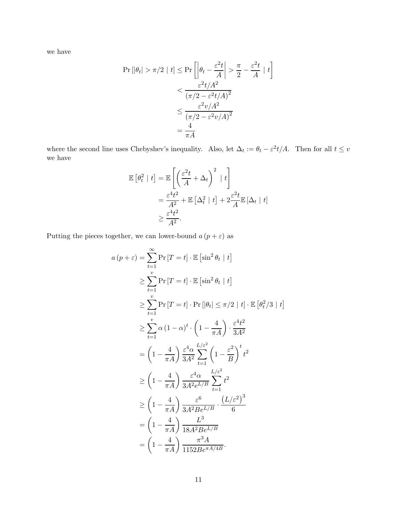we have

$$
\Pr\left[|\theta_t| > \pi/2 \mid t\right] \le \Pr\left[\left|\theta_t - \frac{\varepsilon^2 t}{A}\right| > \frac{\pi}{2} - \frac{\varepsilon^2 t}{A} \mid t\right] \\
&< \frac{\varepsilon^2 t/A^2}{(\pi/2 - \varepsilon^2 t/A)^2} \\
&\le \frac{\varepsilon^2 v/A^2}{(\pi/2 - \varepsilon^2 v/A)^2} \\
&= \frac{4}{\pi A}
$$

where the second line uses Chebyshev's inequality. Also, let  $\Delta_t := \theta_t - \varepsilon^2 t / A$ . Then for all  $t \leq v$ we have

$$
\mathbb{E}\left[\theta_t^2 \mid t\right] = \mathbb{E}\left[\left(\frac{\varepsilon^2 t}{A} + \Delta_t\right)^2 \mid t\right] \\
= \frac{\varepsilon^4 t^2}{A^2} + \mathbb{E}\left[\Delta_t^2 \mid t\right] + 2\frac{\varepsilon^2 t}{A} \mathbb{E}\left[\Delta_t \mid t\right] \\
\geq \frac{\varepsilon^4 t^2}{A^2}.
$$

Putting the pieces together, we can lower-bound  $a\left(p+\varepsilon\right)$  as

$$
a(p+\varepsilon) = \sum_{t=1}^{\infty} \Pr[T=t] \cdot \mathbb{E} \left[ \sin^2 \theta_t \mid t \right]
$$
  
\n
$$
\geq \sum_{t=1}^{v} \Pr[T=t] \cdot \mathbb{E} \left[ \sin^2 \theta_t \mid t \right]
$$
  
\n
$$
\geq \sum_{t=1}^{v} \Pr[T=t] \cdot \Pr[\theta_t| \leq \pi/2 \mid t] \cdot \mathbb{E} \left[ \theta_t^2/3 \mid t \right]
$$
  
\n
$$
\geq \sum_{t=1}^{v} \alpha (1-\alpha)^t \cdot \left( 1 - \frac{4}{\pi A} \right) \cdot \frac{\varepsilon^4 t^2}{3A^2}
$$
  
\n
$$
= \left( 1 - \frac{4}{\pi A} \right) \frac{\varepsilon^4 \alpha}{3A^2} \sum_{t=1}^{L/\varepsilon^2} \left( 1 - \frac{\varepsilon^2}{B} \right)^t t^2
$$
  
\n
$$
\geq \left( 1 - \frac{4}{\pi A} \right) \frac{\varepsilon^4 \alpha}{3A^2 e^{L/B}} \sum_{t=1}^{L/\varepsilon^2} t^2
$$
  
\n
$$
\geq \left( 1 - \frac{4}{\pi A} \right) \frac{\varepsilon^6}{3A^2 B e^{L/B}} \cdot \frac{\left( L/\varepsilon^2 \right)^3}{6}
$$
  
\n
$$
= \left( 1 - \frac{4}{\pi A} \right) \frac{L^3}{18A^2 B e^{L/B}}
$$
  
\n
$$
= \left( 1 - \frac{4}{\pi A} \right) \frac{\pi^3 A}{1152 B e^{\pi A/4B}}.
$$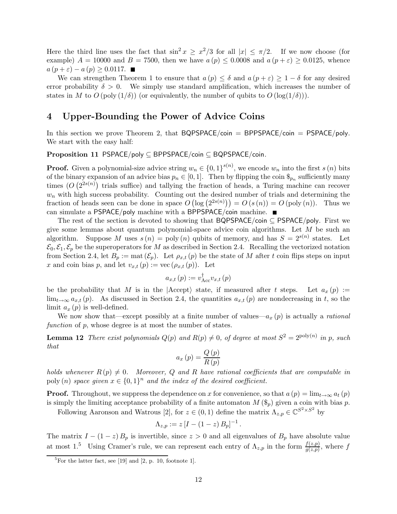Here the third line uses the fact that  $\sin^2 x \geq x^2/3$  for all  $|x| \leq \pi/2$ . If we now choose (for example)  $A = 10000$  and  $B = 7500$ , then we have  $a(p) \le 0.0008$  and  $a(p+\varepsilon) \ge 0.0125$ , whence  $a (p + \varepsilon) - a (p) \ge 0.0117.$ 

We can strengthen Theorem 1 to ensure that  $a(p) \leq \delta$  and  $a(p+\varepsilon) \geq 1-\delta$  for any desired error probability  $\delta > 0$ . We simply use standard amplification, which increases the number of states in M to O (poly  $(1/\delta)$ ) (or equivalently, the number of qubits to  $O(\log(1/\delta))$ ).

## 4 Upper-Bounding the Power of Advice Coins

In this section we prove Theorem 2, that  $BQPSPACE/coin = BPPSPACE/coin = PSPACE/poly$ . We start with the easy half:

Proposition 11 PSPACE/poly ⊆ BPPSPACE/coin ⊆ BQPSPACE/coin.

**Proof.** Given a polynomial-size advice string  $w_n \in \{0,1\}^{s(n)}$ , we encode  $w_n$  into the first  $s(n)$  bits of the binary expansion of an advice bias  $p_n \in [0,1]$ . Then by flipping the coin  $\$_{p_n}$  sufficiently many times  $(O(2^{2s(n)})$  trials suffice) and tallying the fraction of heads, a Turing machine can recover  $w_n$  with high success probability. Counting out the desired number of trials and determining the fraction of heads seen can be done in space  $O(\log(2^{2s(n)})) = O(s(n)) = O(\text{poly}(n))$ . Thus we can simulate a PSPACE/poly machine with a BPPSPACE/coin machine.

The rest of the section is devoted to showing that BQPSPACE/coin ⊆ PSPACE/poly. First we give some lemmas about quantum polynomial-space advice coin algorithms. Let  $M$  be such an algorithm. Suppose M uses  $s(n) = \text{poly}(n)$  qubits of memory, and has  $S = 2^{s(n)}$  states. Let  $\mathcal{E}_0, \mathcal{E}_1, \mathcal{E}_p$  be the superoperators for M as described in Section 2.4. Recalling the vectorized notation from Section 2.4, let  $B_p := \text{mat}(\mathcal{E}_p)$ . Let  $\rho_{x,t}(p)$  be the state of M after t coin flips steps on input x and coin bias p, and let  $v_{x,t}(p) := \text{vec}(\rho_{x,t}(p))$ . Let

$$
a_{x,t}\left(p\right) := v_{\text{Acc}}^{\dagger}v_{x,t}\left(p\right)
$$

be the probability that M is in the  $|$ Accept $\rangle$  state, if measured after t steps. Let  $a_x(p) :=$  $\lim_{t\to\infty} a_{x,t}(p)$ . As discussed in Section 2.4, the quantities  $a_{x,t}(p)$  are nondecreasing in t, so the limit  $a_x(p)$  is well-defined.

We now show that—except possibly at a finite number of values— $a_x(p)$  is actually a *rational* function of p, whose degree is at most the number of states.

**Lemma 12** There exist polynomials  $Q(p)$  and  $R(p) \neq 0$ , of degree at most  $S^2 = 2^{\text{poly}(n)}$  in p, such that

$$
a_x(p) = \frac{Q(p)}{R(p)}
$$

holds whenever  $R(p) \neq 0$ . Moreover, Q and R have rational coefficients that are computable in poly (n) space given  $x \in \{0,1\}^n$  and the index of the desired coefficient.

**Proof.** Throughout, we suppress the dependence on x for convenience, so that  $a(p) = \lim_{t\to\infty} a_t(p)$ is simply the limiting acceptance probability of a finite automaton  $M(\mathcal{S}_p)$  given a coin with bias p.

Following Aaronson and Watrous [2], for  $z \in (0,1)$  define the matrix  $\Lambda_{z,p} \in \mathbb{C}^{S^2 \times S^2}$  by

$$
\Lambda_{z,p} := z \left[ I - (1-z) B_p \right]^{-1}.
$$

The matrix  $I - (1 - z) B_p$  is invertible, since  $z > 0$  and all eigenvalues of  $B_p$  have absolute value at most 1.<sup>5</sup> Using Cramer's rule, we can represent each entry of  $\Lambda_{z,p}$  in the form  $\frac{f(z,p)}{g(z,p)}$ , where f

 ${}^{5}$ For the latter fact, see [19] and [2, p. 10, footnote 1].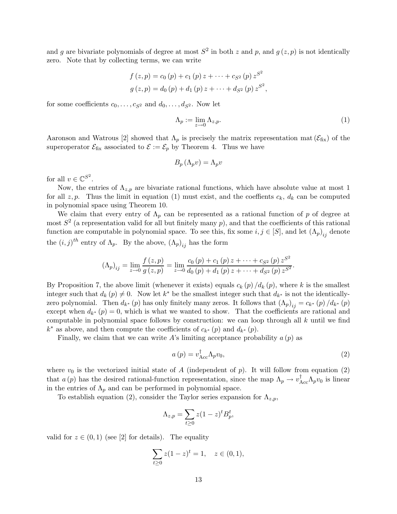and g are bivariate polynomials of degree at most  $S^2$  in both z and p, and  $g(z, p)$  is not identically zero. Note that by collecting terms, we can write

$$
f(z,p) = c_0 (p) + c_1 (p) z + \cdots + c_{S^2} (p) z^{S^2}
$$
  

$$
g(z,p) = d_0 (p) + d_1 (p) z + \cdots + d_{S^2} (p) z^{S^2},
$$

for some coefficients  $c_0, \ldots, c_{S^2}$  and  $d_0, \ldots, d_{S^2}$ . Now let

$$
\Lambda_p := \lim_{z \to 0} \Lambda_{z,p}.\tag{1}
$$

Aaronson and Watrous [2] showed that  $\Lambda_p$  is precisely the matrix representation mat  $(\mathcal{E}_{fix})$  of the superoperator  $\mathcal{E}_{\text{fix}}$  associated to  $\mathcal{E} := \mathcal{E}_p$  by Theorem 4. Thus we have

$$
B_p(\Lambda_p v) = \Lambda_p v
$$

for all  $v \in \mathbb{C}^{S^2}$ .

Now, the entries of  $\Lambda_{z,p}$  are bivariate rational functions, which have absolute value at most 1 for all  $z, p$ . Thus the limit in equation (1) must exist, and the coeffients  $c_k$ ,  $d_k$  can be computed in polynomial space using Theorem 10.

We claim that every entry of  $\Lambda_p$  can be represented as a rational function of p of degree at most  $S<sup>2</sup>$  (a representation valid for all but finitely many p), and that the coefficients of this rational function are computable in polynomial space. To see this, fix some  $i, j \in [S]$ , and let  $(\Lambda_p)_{ij}$  denote the  $(i, j)^{th}$  entry of  $\Lambda_p$ . By the above,  $(\Lambda_p)_{ij}$  has the form

$$
(\Lambda_p)_{ij} = \lim_{z \to 0} \frac{f(z, p)}{g(z, p)} = \lim_{z \to 0} \frac{c_0(p) + c_1(p) z + \dots + c_{S^2}(p) z^{S^2}}{d_0(p) + d_1(p) z + \dots + d_{S^2}(p) z^{S^2}}.
$$

By Proposition 7, the above limit (whenever it exists) equals  $c_k(p)/d_k(p)$ , where k is the smallest integer such that  $d_k(p) \neq 0$ . Now let  $k^*$  be the smallest integer such that  $d_{k^*}$  is not the identicallyzero polynomial. Then  $d_{k^*}(p)$  has only finitely many zeros. It follows that  $(\Lambda_p)_{ij} = c_{k^*}(p) / d_{k^*}(p)$ except when  $d_{k^*}(p) = 0$ , which is what we wanted to show. That the coefficients are rational and computable in polynomial space follows by construction: we can loop through all  $k$  until we find  $k^*$  as above, and then compute the coefficients of  $c_{k^*}(p)$  and  $d_{k^*}(p)$ .

Finally, we claim that we can write A's limiting acceptance probability  $a(p)$  as

$$
a(p) = v_{\text{Acc}}^{\dagger} \Lambda_p v_0,\tag{2}
$$

where  $v_0$  is the vectorized initial state of A (independent of p). It will follow from equation (2) that  $a(p)$  has the desired rational-function representation, since the map  $\Lambda_p \to v_{\text{Acc}}^{\dagger} \Lambda_p v_0$  is linear in the entries of  $\Lambda_p$  and can be performed in polynomial space.

To establish equation (2), consider the Taylor series expansion for  $\Lambda_{z,p}$ ,

$$
\Lambda_{z,p} = \sum_{t \ge 0} z(1-z)^t B_p^t,
$$

valid for  $z \in (0,1)$  (see [2] for details). The equality

$$
\sum_{t\geq 0} z(1-z)^t = 1, \quad z \in (0,1),
$$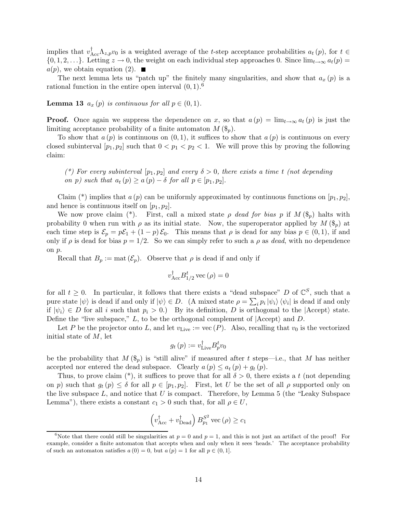implies that  $v_{\text{Acc}}^{\dagger} \Lambda_{z,p} v_0$  is a weighted average of the t-step acceptance probabilities  $a_t(p)$ , for  $t \in$  $\{0, 1, 2, \ldots\}$ . Letting  $z \to 0$ , the weight on each individual step approaches 0. Since  $\lim_{t\to\infty} a_t(p)$  $a(p)$ , we obtain equation (2).

The next lemma lets us "patch up" the finitely many singularities, and show that  $a_x(p)$  is a rational function in the entire open interval  $(0, 1)$ .<sup>6</sup>

**Lemma 13**  $a_x(p)$  is continuous for all  $p \in (0,1)$ .

**Proof.** Once again we suppress the dependence on x, so that  $a(p) = \lim_{t\to\infty} a_t(p)$  is just the limiting acceptance probability of a finite automaton  $M(\$_{p})$ .

To show that  $a(p)$  is continuous on  $(0, 1)$ , it suffices to show that  $a(p)$  is continuous on every closed subinterval  $[p_1, p_2]$  such that  $0 < p_1 < p_2 < 1$ . We will prove this by proving the following claim:

(\*) For every subinterval  $[p_1,p_2]$  and every  $\delta > 0$ , there exists a time t (not depending on p) such that  $a_t(p) \ge a(p) - \delta$  for all  $p \in [p_1, p_2]$ .

Claim (\*) implies that  $a(p)$  can be uniformly approximated by continuous functions on  $[p_1, p_2]$ , and hence is continuous itself on  $[p_1, p_2]$ .

We now prove claim (\*). First, call a mixed state  $\rho$  dead for bias p if  $M(\mathcal{S}_p)$  halts with probability 0 when run with  $\rho$  as its initial state. Now, the superoperator applied by  $M(\mathcal{S}_p)$  at each time step is  $\mathcal{E}_p = p\mathcal{E}_1 + (1-p)\mathcal{E}_0$ . This means that  $\rho$  is dead for any bias  $p \in (0,1)$ , if and only if  $\rho$  is dead for bias  $p = 1/2$ . So we can simply refer to such a  $\rho$  as *dead*, with no dependence on p.

Recall that  $B_p := \text{mat}(\mathcal{E}_p)$ . Observe that  $\rho$  is dead if and only if

$$
v_{\text{Acc}}^{\dagger} B_{1/2}^{t} \text{ vec} \left( \rho \right) = 0
$$

for all  $t \geq 0$ . In particular, it follows that there exists a "dead subspace" D of  $\mathbb{C}^S$ , such that a pure state  $|\psi\rangle$  is dead if and only if  $|\psi\rangle \in D$ . (A mixed state  $\rho = \sum_i p_i |\psi_i\rangle \langle \psi_i|$  is dead if and only if  $|\psi_i\rangle \in D$  for all i such that  $p_i > 0$ .) By its definition, D is orthogonal to the  $|$ Accept $\rangle$  state. Define the "live subspace," L, to be the orthogonal complement of  $|Accept\rangle$  and D.

Let P be the projector onto L, and let  $v_{\text{Live}} := \text{vec}(P)$ . Also, recalling that  $v_0$  is the vectorized initial state of M, let

$$
g_t(p) := v_{\text{Live}}^\dagger B_p^t v_0
$$

be the probability that  $M(\mathbb{S}_p)$  is "still alive" if measured after t steps—i.e., that M has neither accepted nor entered the dead subspace. Clearly  $a(p) \le a_t(p) + g_t(p)$ .

Thus, to prove claim (\*), it suffices to prove that for all  $\delta > 0$ , there exists a t (not depending on p) such that  $g_t(p) \leq \delta$  for all  $p \in [p_1,p_2]$ . First, let U be the set of all  $\rho$  supported only on the live subspace  $L$ , and notice that  $U$  is compact. Therefore, by Lemma 5 (the "Leaky Subspace Lemma"), there exists a constant  $c_1 > 0$  such that, for all  $\rho \in U$ ,

$$
\left(v_{\text{Acc}}^{\dagger} + v_{\text{Dead}}^{\dagger}\right) B_{p_1}^{S^2} \text{ vec}\left(\rho\right) \ge c_1
$$

<sup>&</sup>lt;sup>6</sup>Note that there could still be singularities at  $p = 0$  and  $p = 1$ , and this is not just an artifact of the proof! For example, consider a finite automaton that accepts when and only when it sees 'heads.' The acceptance probability of such an automaton satisfies  $a(0) = 0$ , but  $a(p) = 1$  for all  $p \in (0, 1]$ .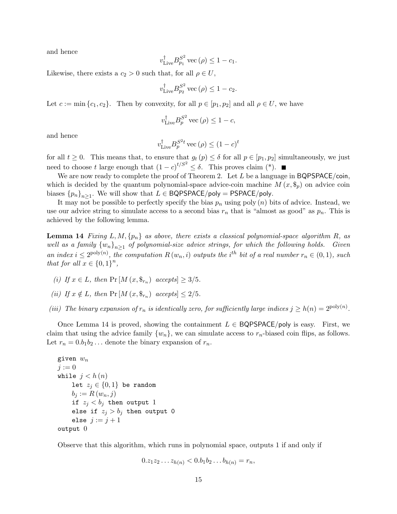and hence

$$
v_{\text{Live}}^{\dagger} B_{p_1}^{S^2} \text{ vec}(\rho) \le 1 - c_1.
$$

Likewise, there exists a  $c_2 > 0$  such that, for all  $\rho \in U$ ,

$$
v_{\text{Live}}^{\dagger} B_{p_2}^{S^2} \text{ vec}(\rho) \le 1 - c_2.
$$

Let  $c := \min\{c_1, c_2\}$ . Then by convexity, for all  $p \in [p_1, p_2]$  and all  $\rho \in U$ , we have

$$
v_{\text{Live}}^{\dagger} B_p^{S^2} \text{ vec}(\rho) \le 1 - c,
$$

and hence

$$
v_{\text{Live}}^{\dagger} B_p^{S^2 t} \text{ vec}(\rho) \le (1 - c)^t
$$

for all  $t \geq 0$ . This means that, to ensure that  $g_t(p) \leq \delta$  for all  $p \in [p_1, p_2]$  simultaneously, we just need to choose t large enough that  $(1-c)^{t/S^2} \leq \delta$ . This proves claim (\*).

We are now ready to complete the proof of Theorem 2. Let  $L$  be a language in BQPSPACE/coin. which is decided by the quantum polynomial-space advice-coin machine  $M(x, \mathcal{S}_p)$  on advice coin biases  ${p_n}_{n\geq 1}$ . We will show that  $L \in \mathsf{BQPSPACE/poly} = \mathsf{PSPACE/poly}$ .

It may not be possible to perfectly specify the bias  $p_n$  using poly  $(n)$  bits of advice. Instead, we use our advice string to simulate access to a second bias  $r_n$  that is "almost as good" as  $p_n$ . This is achieved by the following lemma.

**Lemma 14** Fixing L, M,  $\{p_n\}$  as above, there exists a classical polynomial-space algorithm R, as well as a family  ${w_n}_{n \geq 1}$  of polynomial-size advice strings, for which the following holds. Given an index  $i \leq 2^{\text{poly}(n)}$ , the computation  $R(w_n, i)$  outputs the i<sup>th</sup> bit of a real number  $r_n \in (0, 1)$ , such that for all  $x \in \{0,1\}^n$ ,

- (i) If  $x \in L$ , then  $Pr[M(x, \$_{r_n})$  accepts  $] \geq 3/5$ .
- (ii) If  $x \notin L$ , then  $Pr[M(x, \S_{r_n})$  accepts]  $\leq 2/5$ .
- (iii) The binary expansion of  $r_n$  is identically zero, for sufficiently large indices  $j \ge h(n) = 2^{\text{poly}(n)}$ .

Once Lemma 14 is proved, showing the containment  $L \in BQPSPACE/poly$  is easy. First, we claim that using the advice family  $\{w_n\}$ , we can simulate access to  $r_n$ -biased coin flips, as follows. Let  $r_n = 0.b_1b_2\ldots$  denote the binary expansion of  $r_n$ .

```
given w_nj := 0while j < h(n)let z_j \in \{0,1\} be random
    b_j := R(w_n, j)if z_j < b_j then output 1
    else if z_j > b_j then output 0
    else j := j + 1output 0
```
Observe that this algorithm, which runs in polynomial space, outputs 1 if and only if

$$
0.z_1z_2...z_{h(n)} < 0.b_1b_2...b_{h(n)} = r_n,
$$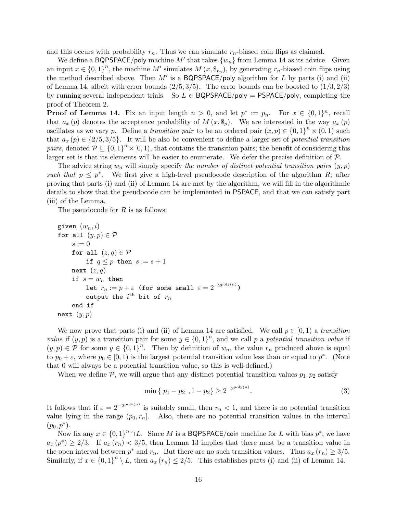and this occurs with probability  $r_n$ . Thus we can simulate  $r_n$ -biased coin flips as claimed.

We define a BQPSPACE/poly machine  $M'$  that takes  $\{w_n\}$  from Lemma 14 as its advice. Given an input  $x \in \{0,1\}^n$ , the machine M' simulates  $M(x, \mathcal{S}_{r_n})$ , by generating  $r_n$ -biased coin flips using the method described above. Then  $M'$  is a BQPSPACE/poly algorithm for L by parts (i) and (ii) of Lemma 14, albeit with error bounds  $(2/5, 3/5)$ . The error bounds can be boosted to  $(1/3, 2/3)$ by running several independent trials. So  $L \in BQPSPACE/poly = PSPACE/poly$ , completing the proof of Theorem 2.

**Proof of Lemma 14.** Fix an input length  $n > 0$ , and let  $p^* := p_n$ . For  $x \in \{0,1\}^n$ , recall that  $a_x(p)$  denotes the acceptance probability of  $M(x, \mathcal{S}_p)$ . We are interested in the way  $a_x(p)$ oscillates as we vary p. Define a transition pair to be an ordered pair  $(x, p) \in \{0, 1\}^n \times (0, 1)$  such that  $a_x(p) \in \{2/5, 3/5\}$ . It will be also be convenient to define a larger set of potential transition pairs, denoted  $P \subseteq \{0,1\}^n \times [0,1)$ , that contains the transition pairs; the benefit of considering this larger set is that its elements will be easier to enumerate. We defer the precise definition of  $P$ .

The advice string  $w_n$  will simply specify the number of distinct potential transition pairs  $(y, p)$ such that  $p \leq p^*$ . We first give a high-level pseudocode description of the algorithm R; after proving that parts (i) and (ii) of Lemma 14 are met by the algorithm, we will fill in the algorithmic details to show that the pseudocode can be implemented in PSPACE, and that we can satisfy part (iii) of the Lemma.

The pseudocode for  $R$  is as follows:

```
given (w_n, i)for all (y,p) \in \mathcal{P}s := 0for all (z,q) \in \mathcal{P}if q \leq p then s := s + 1next (z,q)if s = w_n then
           let r_n := p + \varepsilon (for some small \varepsilon = 2^{-2^{\text{poly}(n)}})
           output the i^{\text{th}} bit of r_nend if
next (y,p)
```
We now prove that parts (i) and (ii) of Lemma 14 are satisfied. We call  $p \in [0,1)$  a transition *value* if  $(y, p)$  is a transition pair for some  $y \in \{0, 1\}^n$ , and we call p a potential transition value if  $(y, p) \in \mathcal{P}$  for some  $y \in \{0, 1\}^n$ . Then by definition of  $w_n$ , the value  $r_n$  produced above is equal to  $p_0 + \varepsilon$ , where  $p_0 \in [0, 1)$  is the largest potential transition value less than or equal to  $p^*$ . (Note that 0 will always be a potential transition value, so this is well-defined.)

When we define  $P$ , we will argue that any distinct potential transition values  $p_1, p_2$  satisfy

$$
\min\{|p_1 - p_2|, 1 - p_2\} \ge 2^{-2^{\text{poly}(n)}}.\tag{3}
$$

It follows that if  $\varepsilon = 2^{-2^{\text{poly}(n)}}$  is suitably small, then  $r_n < 1$ , and there is no potential transition value lying in the range  $(p_0, r_n)$ . Also, there are no potential transition values in the interval  $(p_0, p^*).$ 

Now fix any  $x \in \{0,1\}^n \cap L$ . Since M is a BQPSPACE/coin machine for L with bias  $p^*$ , we have  $a_x(p^*) \geq 2/3$ . If  $a_x(r_n) < 3/5$ , then Lemma 13 implies that there must be a transition value in the open interval between  $p^*$  and  $r_n$ . But there are no such transition values. Thus  $a_x(r_n) \geq 3/5$ . Similarly, if  $x \in \{0,1\}^n \setminus L$ , then  $a_x(r_n) \leq 2/5$ . This establishes parts (i) and (ii) of Lemma 14.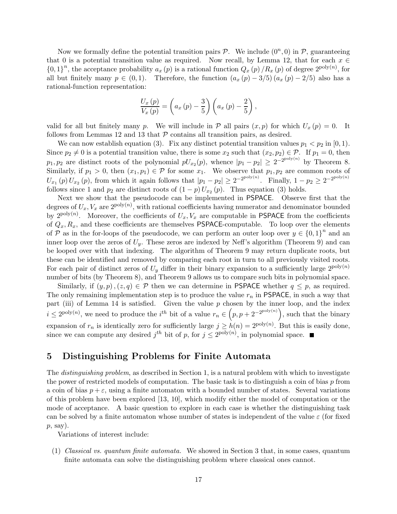Now we formally define the potential transition pairs  $P$ . We include  $(0^n,0)$  in  $P$ , guaranteeing that 0 is a potential transition value as required. Now recall, by Lemma 12, that for each  $x \in$  ${0,1}^n$ , the acceptance probability  $a_x(p)$  is a rational function  $Q_x(p)/R_x(p)$  of degree  $2^{\text{poly}(n)}$ , for all but finitely many  $p \in (0,1)$ . Therefore, the function  $(a_x (p) - 3/5) (a_x (p) - 2/5)$  also has a rational-function representation:

$$
\frac{U_x(p)}{V_x(p)} = \left(a_x(p) - \frac{3}{5}\right)\left(a_x(p) - \frac{2}{5}\right),\,
$$

valid for all but finitely many p. We will include in  $P$  all pairs  $(x, p)$  for which  $U_x(p) = 0$ . It follows from Lemmas 12 and 13 that  $P$  contains all transition pairs, as desired.

We can now establish equation (3). Fix any distinct potential transition values  $p_1 < p_2$  in [0, 1]. Since  $p_2 \neq 0$  is a potential transition value, there is some  $x_2$  such that  $(x_2, p_2) \in \mathcal{P}$ . If  $p_1 = 0$ , then  $p_1, p_2$  are distinct roots of the polynomial  $pU_{x_2}(p)$ , whence  $|p_1 - p_2| \geq 2^{-2^{\text{poly}(n)}}$  by Theorem 8. Similarly, if  $p_1 > 0$ , then  $(x_1, p_1) \in \mathcal{P}$  for some  $x_1$ . We observe that  $p_1, p_2$  are common roots of  $U_{x_1}(p) U_{x_2}(p)$ , from which it again follows that  $|p_1 - p_2| \geq 2^{-2^{\text{poly}(n)}}$ . Finally,  $1 - p_2 \geq 2^{-2^{\text{poly}(n)}}$ follows since 1 and  $p_2$  are distinct roots of  $(1-p)U_{x_2}(p)$ . Thus equation (3) holds.

Next we show that the pseudocode can be implemented in PSPACE. Observe first that the degrees of  $U_x, V_x$  are  $2^{\text{poly}(n)}$ , with rational coefficients having numerator and denominator bounded by  $2^{poly(n)}$ . Moreover, the coefficients of  $U_x, V_x$  are computable in PSPACE from the coefficients of  $Q_x, R_x$ , and these coefficients are themselves PSPACE-computable. To loop over the elements of P as in the for-loops of the pseudocode, we can perform an outer loop over  $y \in \{0,1\}^n$  and an inner loop over the zeros of  $U_y$ . These zeros are indexed by Neff's algorithm (Theorem 9) and can be looped over with that indexing. The algorithm of Theorem 9 may return duplicate roots, but these can be identified and removed by comparing each root in turn to all previously visited roots. For each pair of distinct zeros of  $U_y$  differ in their binary expansion to a sufficiently large  $2^{poly(n)}$ number of bits (by Theorem 8), and Theorem 9 allows us to compare such bits in polynomial space.

Similarly, if  $(y, p), (z, q) \in \mathcal{P}$  then we can determine in PSPACE whether  $q \leq p$ , as required. The only remaining implementation step is to produce the value  $r_n$  in PSPACE, in such a way that part (iii) of Lemma 14 is satisfied. Given the value  $p$  chosen by the inner loop, and the index  $i \leq 2^{\text{poly}(n)}$ , we need to produce the  $i^{th}$  bit of a value  $r_n \in (p, p + 2^{-2^{\text{poly}(n)}})$ , such that the binary expansion of  $r_n$  is identically zero for sufficiently large  $j \geq h(n) = 2^{\text{poly}(n)}$ . But this is easily done, since we can compute any desired  $j<sup>th</sup>$  bit of p, for  $j \leq 2^{\text{poly}(n)}$ , in polynomial space.

## 5 Distinguishing Problems for Finite Automata

The *distinguishing problem*, as described in Section 1, is a natural problem with which to investigate the power of restricted models of computation. The basic task is to distinguish a coin of bias  $p$  from a coin of bias  $p + \varepsilon$ , using a finite automaton with a bounded number of states. Several variations of this problem have been explored [13, 10], which modify either the model of computation or the mode of acceptance. A basic question to explore in each case is whether the distinguishing task can be solved by a finite automaton whose number of states is independent of the value  $\varepsilon$  (for fixed  $p$ , say).

Variations of interest include:

(1) Classical vs. quantum finite automata. We showed in Section 3 that, in some cases, quantum finite automata can solve the distinguishing problem where classical ones cannot.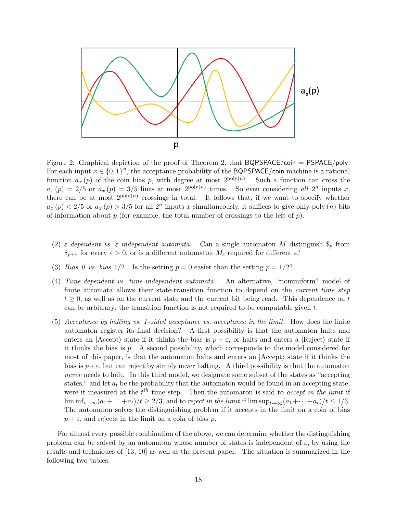

Figure 2: Graphical depiction of the proof of Theorem 2, that  $BQPSPACE/coin = PSPACE/poly$ . For each input  $x \in \{0,1\}^n$ , the acceptance probability of the BQPSPACE/coin machine is a rational function  $a_x(p)$  of the coin bias p, with degree at most  $2^{poly(n)}$ . Such a function can cross the  $a_x(p) = 2/5$  or  $a_x(p) = 3/5$  lines at most  $2^{\text{poly}(n)}$  times. So even considering all  $2^n$  inputs x, there can be at most  $2^{poly(n)}$  crossings in total. It follows that, if we want to specify whether  $a_x(p) < 2/5$  or  $a_x(p) > 3/5$  for all  $2^n$  inputs x simultaneously, it suffices to give only poly  $(n)$  bits of information about p (for example, the total number of crossings to the left of p).

- (2)  $\varepsilon$ -dependent vs.  $\varepsilon$ -independent automata. Can a single automaton M distinguish  $\$_{p}$  from  $\$_{p+\varepsilon}$  for every  $\varepsilon > 0$ , or is a different automaton  $M_{\varepsilon}$  required for different  $\varepsilon$ ?
- (3) Bias 0 vs. bias  $1/2$ . Is the setting  $p = 0$  easier than the setting  $p = 1/2$ ?
- (4) Time-dependent vs. time-independent automata. An alternative, "nonuniform" model of finite automata allows their state-transition function to depend on the *current time step*  $t \geq 0$ , as well as on the current state and the current bit being read. This dependence on t can be arbitrary; the transition function is not required to be computable given  $t$ .
- (5) Acceptance by halting vs. 1 -sided acceptance vs. acceptance in the limit. How does the finite automaton register its final decision? A first possibility is that the automaton halts and enters an  $|$ Accept $\rangle$  state if it thinks the bias is  $p + \varepsilon$ , or halts and enters a  $|$ Reject $\rangle$  state if it thinks the bias is p. A second possibility, which corresponds to the model considered for most of this paper, is that the automaton halts and enters an  $|Accept\rangle$  state if it thinks the bias is  $p+\varepsilon$ , but can reject by simply never halting. A third possibility is that the automaton never needs to halt. In this third model, we designate some subset of the states as "accepting" states," and let  $a_t$  be the probability that the automaton would be found in an accepting state, were it measured at the  $t<sup>th</sup>$  time step. Then the automaton is said to accept in the limit if  $\liminf_{t\to\infty} (a_1+\ldots+a_t)/t \geq 2/3$ , and to reject in the limit if  $\limsup_{t\to\infty} (a_1+\cdots+a_t)/t \leq 1/3$ . The automaton solves the distinguishing problem if it accepts in the limit on a coin of bias  $p + \varepsilon$ , and rejects in the limit on a coin of bias p.

For almost every possible combination of the above, we can determine whether the distinguishing problem can be solved by an automaton whose number of states is independent of  $\varepsilon$ , by using the results and techniques of [13, 10] as well as the present paper. The situation is summarized in the following two tables.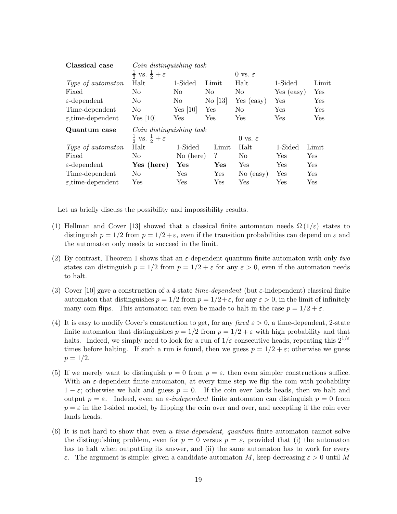| Classical case                 | Coin distinguishing task                  |                |                          |                              |            |            |
|--------------------------------|-------------------------------------------|----------------|--------------------------|------------------------------|------------|------------|
|                                | $rac{1}{2}$ vs. $rac{1}{2} + \varepsilon$ |                |                          | $0 \text{ vs. } \varepsilon$ |            |            |
| Type of automaton              | Halt                                      | 1-Sided        | Limit                    | Halt                         | 1-Sided    | Limit      |
| Fixed                          | No.                                       | No             | No                       | N <sub>o</sub>               | Yes (easy) | Yes        |
| $\varepsilon$ -dependent       | N <sub>o</sub>                            | N <sub>o</sub> | $\mathrm{No}$ [13]       | Yes (easy)                   | Yes        | Yes        |
| Time-dependent                 | No                                        | Yes $[10]$     | Yes                      | No                           | <b>Yes</b> | <b>Yes</b> |
| $\varepsilon$ , time-dependent | $Yes$ [10]                                | Yes            | Yes                      | Yes                          | Yes        | Yes        |
|                                |                                           |                |                          |                              |            |            |
| Quantum case                   | Coin distinguishing task                  |                |                          |                              |            |            |
|                                | $rac{1}{2}$ vs. $rac{1}{2} + \varepsilon$ |                |                          | $0 \text{ vs. } \varepsilon$ |            |            |
| Type of automaton              | Halt                                      | 1-Sided        | Limit                    | Halt                         | 1-Sided    | Limit      |
| Fixed                          | No.                                       | No (here)      | $\overline{\mathcal{L}}$ | No.                          | Yes        | Yes        |
| $\varepsilon$ -dependent       | Yes (here)                                | Yes            | Yes                      | Yes                          | Yes        | Yes        |
| Time-dependent                 | N <sub>o</sub>                            | <b>Yes</b>     | Yes                      | No (easy)                    | Yes        | Yes        |

Let us briefly discuss the possibility and impossibility results.

- (1) Hellman and Cover [13] showed that a classical finite automaton needs  $\Omega(1/\varepsilon)$  states to distinguish  $p = 1/2$  from  $p = 1/2 + \varepsilon$ , even if the transition probabilities can depend on  $\varepsilon$  and the automaton only needs to succeed in the limit.
- (2) By contrast, Theorem 1 shows that an  $\varepsilon$ -dependent quantum finite automaton with only two states can distinguish  $p = 1/2$  from  $p = 1/2 + \varepsilon$  for any  $\varepsilon > 0$ , even if the automaton needs to halt.
- (3) Cover [10] gave a construction of a 4-state time-dependent (but  $\varepsilon$ -independent) classical finite automaton that distinguishes  $p = 1/2$  from  $p = 1/2 + \varepsilon$ , for any  $\varepsilon > 0$ , in the limit of infinitely many coin flips. This automaton can even be made to halt in the case  $p = 1/2 + \varepsilon$ .
- (4) It is easy to modify Cover's construction to get, for any fixed  $\varepsilon > 0$ , a time-dependent, 2-state finite automaton that distinguishes  $p = 1/2$  from  $p = 1/2 + \varepsilon$  with high probability and that halts. Indeed, we simply need to look for a run of  $1/\varepsilon$  consecutive heads, repeating this  $2^{1/\varepsilon}$ times before halting. If such a run is found, then we guess  $p = 1/2 + \varepsilon$ ; otherwise we guess  $p = 1/2.$
- (5) If we merely want to distinguish  $p = 0$  from  $p = \varepsilon$ , then even simpler constructions suffice. With an  $\varepsilon$ -dependent finite automaton, at every time step we flip the coin with probability  $1 - \varepsilon$ ; otherwise we halt and guess  $p = 0$ . If the coin ever lands heads, then we halt and output  $p = \varepsilon$ . Indeed, even an  $\varepsilon$ -independent finite automaton can distinguish  $p = 0$  from  $p = \varepsilon$  in the 1-sided model, by flipping the coin over and over, and accepting if the coin ever lands heads.
- (6) It is not hard to show that even a time-dependent, quantum finite automaton cannot solve the distinguishing problem, even for  $p = 0$  versus  $p = \varepsilon$ , provided that (i) the automaton has to halt when outputting its answer, and (ii) the same automaton has to work for every ε. The argument is simple: given a candidate automaton M, keep decreasing ε > 0 until M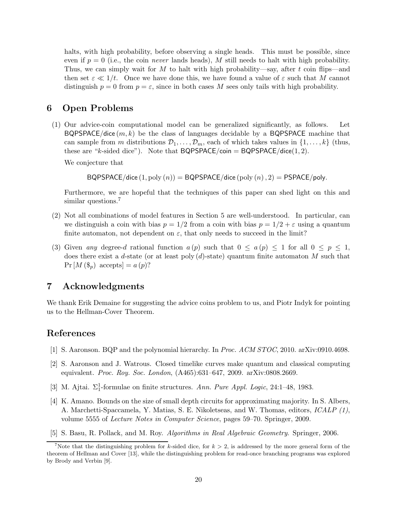halts, with high probability, before observing a single heads. This must be possible, since even if  $p = 0$  (i.e., the coin *never* lands heads), M still needs to halt with high probability. Thus, we can simply wait for M to halt with high probability—say, after t coin flips—and then set  $\varepsilon \ll 1/t$ . Once we have done this, we have found a value of  $\varepsilon$  such that M cannot distinguish  $p = 0$  from  $p = \varepsilon$ , since in both cases M sees only tails with high probability.

## 6 Open Problems

(1) Our advice-coin computational model can be generalized significantly, as follows. Let BQPSPACE/dice  $(m, k)$  be the class of languages decidable by a BQPSPACE machine that can sample from m distributions  $\mathcal{D}_1,\ldots,\mathcal{D}_m$ , each of which takes values in  $\{1,\ldots,k\}$  (thus, these are "k-sided dice"). Note that  $BQPSPACE/coin = BQPSPACE/dice(1, 2)$ .

We conjecture that

 $BQPSPACE/dice (1, poly(n)) = BQPSPACE/dice (poly(n), 2) = PSPACE/poly.$ 

Furthermore, we are hopeful that the techniques of this paper can shed light on this and similar questions.<sup>7</sup>

- (2) Not all combinations of model features in Section 5 are well-understood. In particular, can we distinguish a coin with bias  $p = 1/2$  from a coin with bias  $p = 1/2 + \varepsilon$  using a quantum finite automaton, not dependent on  $\varepsilon$ , that only needs to succeed in the limit?
- (3) Given any degree-d rational function  $a(p)$  such that  $0 \le a(p) \le 1$  for all  $0 \le p \le 1$ , does there exist a d-state (or at least poly  $(d)$ -state) quantum finite automaton M such that  $Pr[M(\$_{n}])$  accepts =  $a(p)$ ?

## 7 Acknowledgments

We thank Erik Demaine for suggesting the advice coins problem to us, and Piotr Indyk for pointing us to the Hellman-Cover Theorem.

## References

- [1] S. Aaronson. BQP and the polynomial hierarchy. In Proc. ACM STOC, 2010. arXiv:0910.4698.
- [2] S. Aaronson and J. Watrous. Closed timelike curves make quantum and classical computing equivalent. Proc. Roy. Soc. London, (A465):631–647, 2009. arXiv:0808.2669.
- [3] M. Ajtai.  $\Sigma_1^1$ -formulae on finite structures. Ann. Pure Appl. Logic, 24:1–48, 1983.
- [4] K. Amano. Bounds on the size of small depth circuits for approximating majority. In S. Albers, A. Marchetti-Spaccamela, Y. Matias, S. E. Nikoletseas, and W. Thomas, editors, ICALP (1), volume 5555 of Lecture Notes in Computer Science, pages 59–70. Springer, 2009.
- [5] S. Basu, R. Pollack, and M. Roy. Algorithms in Real Algebraic Geometry. Springer, 2006.

<sup>&</sup>lt;sup>7</sup>Note that the distinguishing problem for k-sided dice, for  $k > 2$ , is addressed by the more general form of the theorem of Hellman and Cover [13], while the distinguishing problem for read-once branching programs was explored by Brody and Verbin [9].